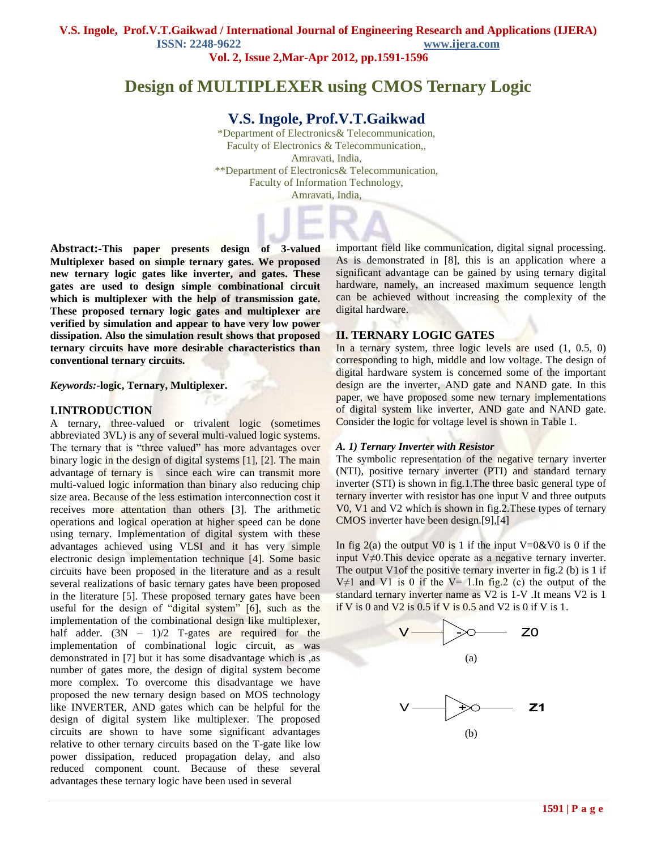**Vol. 2, Issue 2,Mar-Apr 2012, pp.1591-1596**

# **Design of MULTIPLEXER using CMOS Ternary Logic**

# **V.S. Ingole, Prof.V.T.Gaikwad**

\*Department of Electronics& Telecommunication, Faculty of Electronics & Telecommunication,, Amravati, India, \*\*Department of Electronics& Telecommunication, Faculty of Information Technology, Amravati, India,

**Abstract:-This paper presents design of 3-valued Multiplexer based on simple ternary gates. We proposed new ternary logic gates like inverter, and gates. These gates are used to design simple combinational circuit which is multiplexer with the help of transmission gate. These proposed ternary logic gates and multiplexer are verified by simulation and appear to have very low power dissipation. Also the simulation result shows that proposed ternary circuits have more desirable characteristics than conventional ternary circuits.**

#### *Keywords:-***logic, Ternary, Multiplexer.**

#### **I.INTRODUCTION**

A ternary, three-valued or trivalent logic (sometimes abbreviated 3VL) is any of several multi-valued logic systems. The ternary that is "three valued" has more advantages over binary logic in the design of digital systems [1], [2]. The main advantage of ternary is since each wire can transmit more multi-valued logic information than binary also reducing chip size area. Because of the less estimation interconnection cost it receives more attentation than others [3]. The arithmetic operations and logical operation at higher speed can be done using ternary. Implementation of digital system with these advantages achieved using VLSI and it has very simple electronic design implementation technique [4]. Some basic circuits have been proposed in the literature and as a result several realizations of basic ternary gates have been proposed in the literature [5]. These proposed ternary gates have been useful for the design of "digital system" [6], such as the implementation of the combinational design like multiplexer, half adder.  $(3N - 1)/2$  T-gates are required for the implementation of combinational logic circuit, as was demonstrated in [7] but it has some disadvantage which is ,as number of gates more, the design of digital system become more complex. To overcome this disadvantage we have proposed the new ternary design based on MOS technology like INVERTER, AND gates which can be helpful for the design of digital system like multiplexer. The proposed circuits are shown to have some significant advantages relative to other ternary circuits based on the T-gate like low power dissipation, reduced propagation delay, and also reduced component count. Because of these several advantages these ternary logic have been used in several

important field like communication, digital signal processing. As is demonstrated in [8], this is an application where a significant advantage can be gained by using ternary digital hardware, namely, an increased maximum sequence length can be achieved without increasing the complexity of the digital hardware.

### **II. TERNARY LOGIC GATES**

In a ternary system, three logic levels are used  $(1, 0.5, 0)$ corresponding to high, middle and low voltage. The design of digital hardware system is concerned some of the important design are the inverter, AND gate and NAND gate. In this paper, we have proposed some new ternary implementations of digital system like inverter, AND gate and NAND gate. Consider the logic for voltage level is shown in Table 1.

#### *A. 1) Ternary Inverter with Resistor*

The symbolic representation of the negative ternary inverter (NTI), positive ternary inverter (PTI) and standard ternary inverter (STI) is shown in fig.1.The three basic general type of ternary inverter with resistor has one input V and three outputs V0, V1 and V2 which is shown in fig.2.These types of ternary CMOS inverter have been design.[9],[4]

In fig 2(a) the output V0 is 1 if the input V=0&V0 is 0 if the input V≠0.This device operate as a negative ternary inverter. The output V1of the positive ternary inverter in fig.2 (b) is 1 if V≠1 and V1 is 0 if the V= 1.In fig. 2 (c) the output of the standard ternary inverter name as V2 is 1-V .It means V2 is 1 if V is 0 and V2 is  $0.5$  if V is  $0.5$  and V2 is 0 if V is 1.

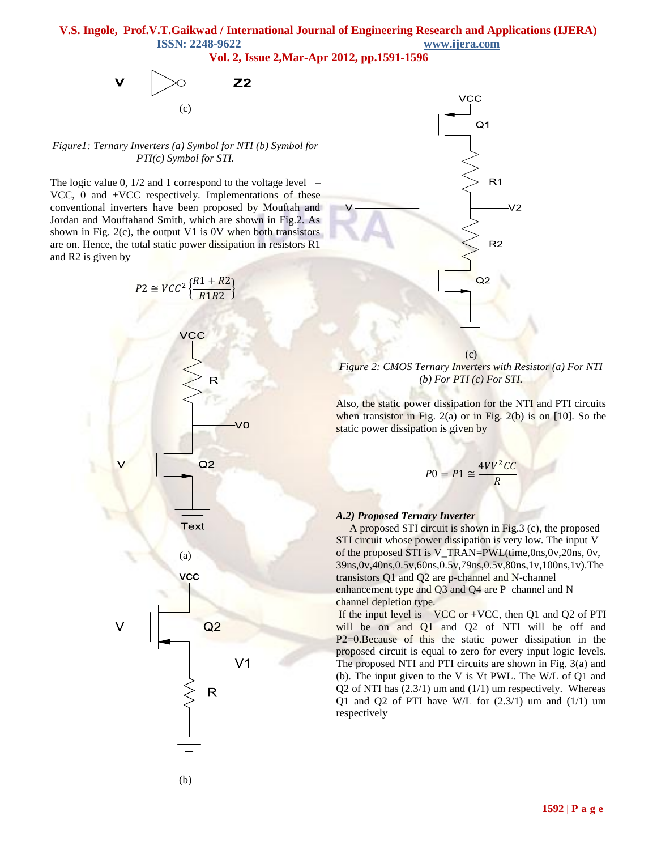**Vol. 2, Issue 2,Mar-Apr 2012, pp.1591-1596**



### *Figure1: Ternary Inverters (a) Symbol for NTI (b) Symbol for PTI(c) Symbol for STI.*

The logic value 0,  $1/2$  and 1 correspond to the voltage level  $-$ VCC, 0 and +VCC respectively. Implementations of these conventional inverters have been proposed by Mouftah and Jordan and Mouftahand Smith, which are shown in Fig.2. As shown in Fig.  $2(c)$ , the output V1 is 0V when both transistors are on. Hence, the total static power dissipation in resistors R1 and R2 is given by

$$
P2 \cong VCC^2 \left\{ \frac{R1 + R2}{R1R2} \right\}
$$

**VCC** 



R

 $Q2$ 

VΩ



*Figure 2: CMOS Ternary Inverters with Resistor (a) For NTI (b) For PTI (c) For STI.*

Also, the static power dissipation for the NTI and PTI circuits when transistor in Fig.  $2(a)$  or in Fig.  $2(b)$  is on [10]. So the static power dissipation is given by

$$
P0 = P1 \cong \frac{4VV^2CC}{R}
$$

#### *A.2) Proposed Ternary Inverter*

A proposed STI circuit is shown in Fig.3 (c), the proposed STI circuit whose power dissipation is very low. The input V of the proposed STI is V\_TRAN=PWL(time,0ns,0v,20ns, 0v, 39ns,0v,40ns,0.5v,60ns,0.5v,79ns,0.5v,80ns,1v,100ns,1v).The transistors Q1 and Q2 are p-channel and N-channel enhancement type and Q3 and Q4 are P–channel and N– channel depletion type.

If the input level is  $-$  VCC or  $+$ VCC, then Q1 and Q2 of PTI will be on and Q1 and Q2 of NTI will be off and P2=0.Because of this the static power dissipation in the proposed circuit is equal to zero for every input logic levels. The proposed NTI and PTI circuits are shown in Fig. 3(a) and (b). The input given to the V is Vt PWL. The W/L of Q1 and Q2 of NTI has  $(2.3/1)$  um and  $(1/1)$  um respectively. Whereas Q1 and Q2 of PTI have W/L for  $(2.3/1)$  um and  $(1/1)$  um respectively



(a)

**VCC** 

 $Q2$ 

R

 $V<sub>1</sub>$ 

 $T \bar{ext}$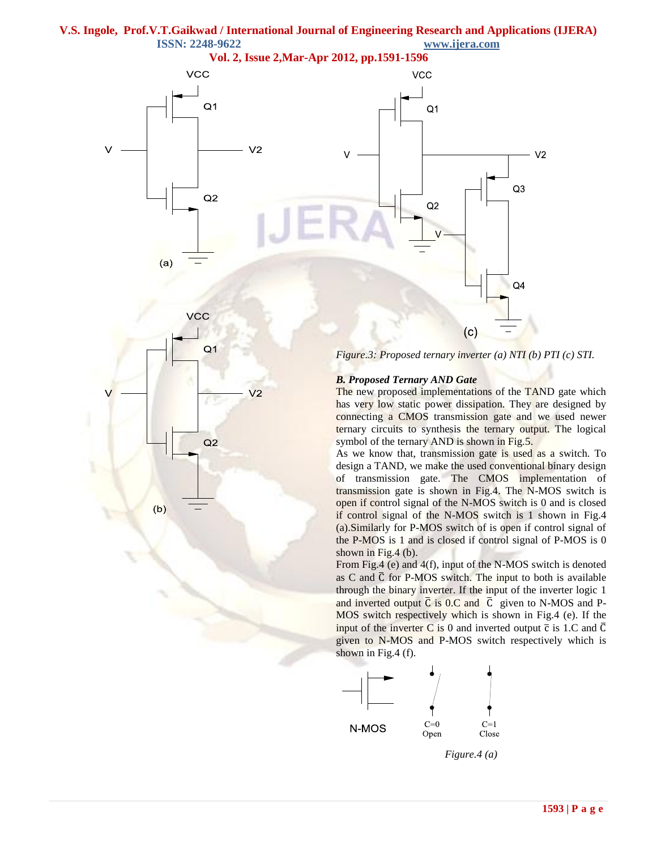**Vol. 2, Issue 2,Mar-Apr 2012, pp.1591-1596**



 $Q<sub>1</sub>$ 

Υ

 $Q2$ 

 $(b)$ 

 $V<sub>2</sub>$ 

*Figure.3: Proposed ternary inverter (a) NTI (b) PTI (c) STI.*

## *B. Proposed Ternary AND Gate*

The new proposed implementations of the TAND gate which has very low static power dissipation. They are designed by connecting a CMOS transmission gate and we used newer ternary circuits to synthesis the ternary output. The logical symbol of the ternary AND is shown in Fig.5.

As we know that, transmission gate is used as a switch. To design a TAND, we make the used conventional binary design of transmission gate. The CMOS implementation of transmission gate is shown in Fig.4. The N-MOS switch is open if control signal of the N-MOS switch is 0 and is closed if control signal of the N-MOS switch is 1 shown in Fig.4 (a).Similarly for P-MOS switch of is open if control signal of the P-MOS is 1 and is closed if control signal of P-MOS is 0 shown in Fig.4 (b).

From Fig.4 (e) and  $4(f)$ , input of the N-MOS switch is denoted as C and  $\overline{C}$  for P-MOS switch. The input to both is available through the binary inverter. If the input of the inverter logic 1 and inverted output  $\overline{C}$  is 0.C and  $\overline{C}$  given to N-MOS and P-MOS switch respectively which is shown in Fig.4 (e). If the input of the inverter C is 0 and inverted output  $\bar{c}$  is 1.C and  $\bar{C}$ given to N-MOS and P-MOS switch respectively which is shown in Fig.4 (f).



*Figure.4 (a)*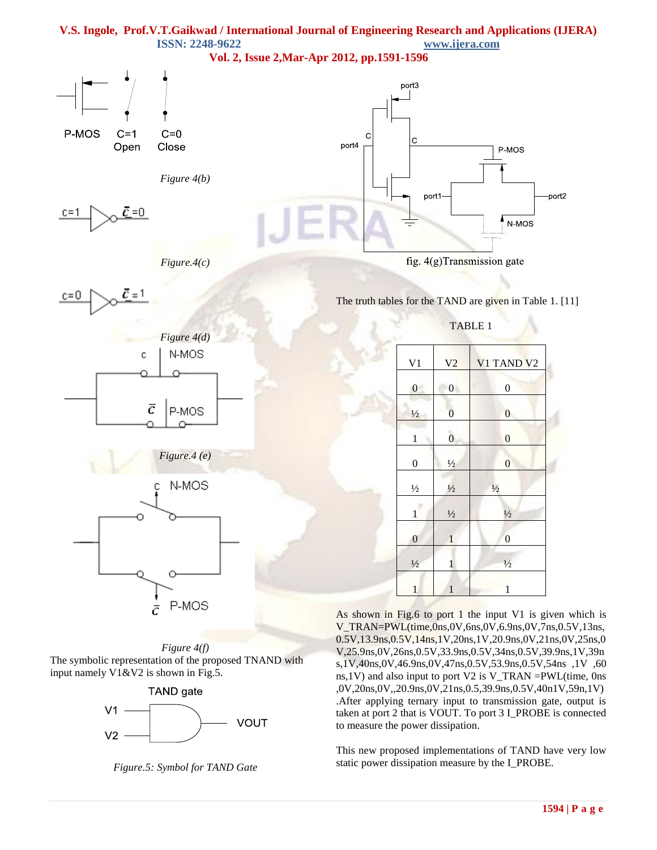



P-MOS



*Figure.5: Symbol for TAND Gate*



 $1 \t \frac{1}{2} \t \frac{1}{2}$ 

0 1 0

 $\frac{1}{2}$  1  $\frac{1}{2}$ 

 $1 \quad 1 \quad 1$ 

This new proposed implementations of TAND have very low static power dissipation measure by the I\_PROBE.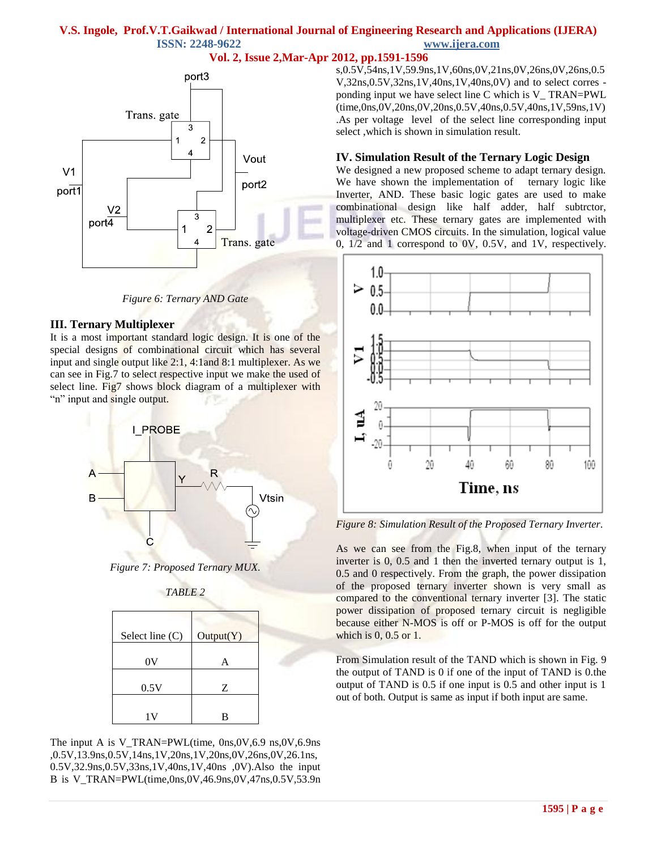



*Figure 6: Ternary AND Gate*

## **III. Ternary Multiplexer**

It is a most important standard logic design. It is one of the special designs of combinational circuit which has several input and single output like 2:1, 4:1and 8:1 multiplexer. As we can see in Fig.7 to select respective input we make the used of select line. Fig7 shows block diagram of a multiplexer with "n" input and single output.



*Figure 7: Proposed Ternary MUX.*

| <i>ABLE</i> |
|-------------|
|-------------|

| Select line (C) | Output(Y) |
|-----------------|-----------|
| 0V              |           |
| 0.5V            | Z         |
|                 | R         |

The input A is V\_TRAN=PWL(time, 0ns,0V,6.9 ns,0V,6.9ns ,0.5V,13.9ns,0.5V,14ns,1V,20ns,1V,20ns,0V,26ns,0V,26.1ns, 0.5V,32.9ns,0.5V,33ns,1V,40ns,1V,40ns ,0V).Also the input B is V\_TRAN=PWL(time,0ns,0V,46.9ns,0V,47ns,0.5V,53.9n s,0.5V,54ns,1V,59.9ns,1V,60ns,0V,21ns,0V,26ns,0V,26ns,0.5 V,32ns,0.5V,32ns,1V,40ns,1V,40ns,0V) and to select corres ponding input we have select line C which is V\_ TRAN=PWL (time,0ns,0V,20ns,0V,20ns,0.5V,40ns,0.5V,40ns,1V,59ns,1V) .As per voltage level of the select line corresponding input select ,which is shown in simulation result.

## **IV. Simulation Result of the Ternary Logic Design**

We designed a new proposed scheme to adapt ternary design. We have shown the implementation of ternary logic like Inverter, AND. These basic logic gates are used to make combinational design like half adder, half subtrctor, multiplexer etc. These ternary gates are implemented with voltage-driven CMOS circuits. In the simulation, logical value 0, 1/2 and 1 correspond to 0V, 0.5V, and 1V, respectively.



*Figure 8: Simulation Result of the Proposed Ternary Inverter.*

As we can see from the Fig.8, when input of the ternary inverter is 0, 0.5 and 1 then the inverted ternary output is 1, 0.5 and 0 respectively. From the graph, the power dissipation of the proposed ternary inverter shown is very small as compared to the conventional ternary inverter [3]. The static power dissipation of proposed ternary circuit is negligible because either N-MOS is off or P-MOS is off for the output which is 0, 0.5 or 1.

From Simulation result of the TAND which is shown in Fig. 9 the output of TAND is 0 if one of the input of TAND is 0.the output of TAND is 0.5 if one input is 0.5 and other input is 1 out of both. Output is same as input if both input are same.